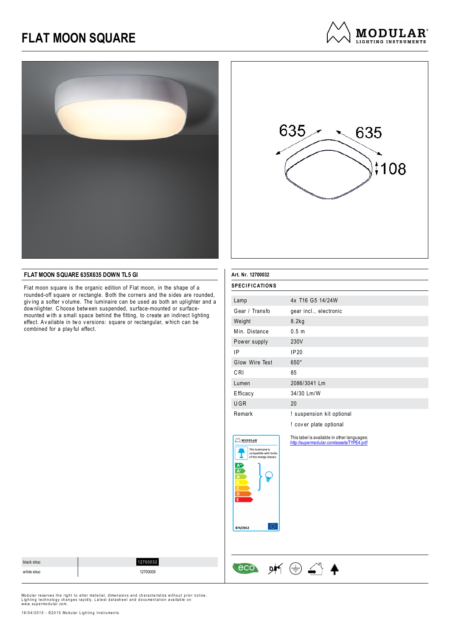



### **FLAT MOON SQUARE 635X635 DOWN TL5 GI**

Flat moon square is the organic edition of Flat moon, in the shape of a rounded-off square or rectangle. Both the corners and the sides are rounded, giv ing a softer v olume. The luminaire can be used as both an uplighter and a dow nlighter. C hoose betw een suspended, surface-mounted or surfacemounted w ith a small space behind the fitting, to create an indirect lighting effect. Av ailable in two versions: square or rectangular, which can be combined for a play ful effect.

| Art. Nr. 12700032 |                           |  |  |
|-------------------|---------------------------|--|--|
| SPECIFICATIONS    |                           |  |  |
|                   |                           |  |  |
| Lamp              | 4x T16 G5 14/24W          |  |  |
| Gear / Transfo    | gear incl., electronic    |  |  |
| Weight            | 8.2kg                     |  |  |
| Min. Distance     | 0.5 <sub>m</sub>          |  |  |
| Power supply      | 230V                      |  |  |
| ΙP                | IP20                      |  |  |
| Glow Wire Test    | $650^\circ$               |  |  |
| CRI               | 85                        |  |  |
| Lumen             | 2086/3041 Lm              |  |  |
| Efficacy          | 34/30 Lm/W                |  |  |
| <b>UGR</b>        | 20                        |  |  |
| Remark            | ! suspension kit optional |  |  |
|                   | ! cover plate optional    |  |  |

This label is available in other languages: http://supermodular.com/assets/TYPE4.pdf



black struc 12700032  $\leftarrow$  eco  $\mathsf{p}\mathsf{f} \oplus \mathsf{f}$   $\mathsf{f}$ white struc 12700009

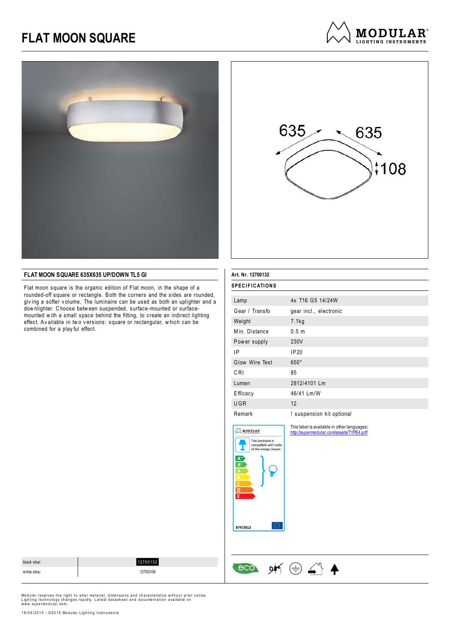



**MODULAR**<sup>®</sup> LIGHTING INSTRUMENTS

### **FLAT MOON SQUARE 635X635 UP/DOWN TL5 GI**

Flat moon square is the organic edition of Flat moon, in the shape of a rounded-off square or rectangle. Both the corners and the sides are rounded, giv ing a softer v olume. The luminaire can be used as both an uplighter and a dow nlighter. C hoose betw een suspended, surface-mounted or surfacemounted w ith a small space behind the fitting, to create an indirect lighting effect. Av ailable in two versions: square or rectangular, which can be combined for a play ful effect.

| Art. Nr. 12700132                                                                                                                             |                                                                                         |  |
|-----------------------------------------------------------------------------------------------------------------------------------------------|-----------------------------------------------------------------------------------------|--|
| SPECIFICATIONS                                                                                                                                |                                                                                         |  |
| Lamp                                                                                                                                          | 4x T16 G5 14/24W                                                                        |  |
| Gear / Transfo                                                                                                                                | gear incl., electronic                                                                  |  |
| Weight                                                                                                                                        | 7.1kg                                                                                   |  |
| Min. Distance                                                                                                                                 | 0.5 <sub>m</sub>                                                                        |  |
| Power supply                                                                                                                                  | 230V                                                                                    |  |
| 1P                                                                                                                                            | IP20                                                                                    |  |
| Glow Wire Test                                                                                                                                | 650°                                                                                    |  |
| CRI                                                                                                                                           | 85                                                                                      |  |
| Lumen                                                                                                                                         | 2812/4101 Lm                                                                            |  |
| Efficacy                                                                                                                                      | 46/41 Lm/W                                                                              |  |
| UGR                                                                                                                                           | 12                                                                                      |  |
| Remark                                                                                                                                        | ! suspension kit optional                                                               |  |
| MODULAR'<br>This luminaire is<br>compatible with bulbs<br>of the energy classes:<br>$\frac{A^+}{A}$ $\frac{A}{A}$ $\frac{B}{C}$ $\frac{D}{F}$ | This label is available in other languages:<br>http://supermodular.com/assets/TYPE4.pdf |  |

| black struc | 12700132 |                |  |
|-------------|----------|----------------|--|
| white struc | 12700109 | <b>DI</b><br>ᅩ |  |

874/2012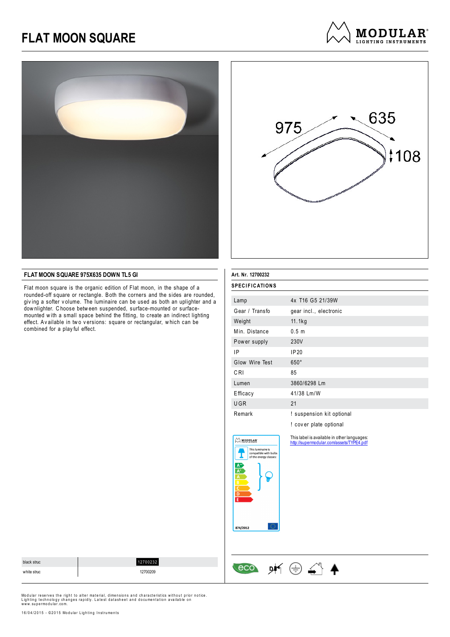



**MODULAR**<sup>®</sup> **LIGHTING INSTRUMENTS** 

### **FLAT MOON SQUARE 975X635 DOWN TL5 GI**

Flat moon square is the organic edition of Flat moon, in the shape of a rounded-off square or rectangle. Both the corners and the sides are rounded, giv ing a softer v olume. The luminaire can be used as both an uplighter and a dow nlighter. C hoose betw een suspended, surface-mounted or surfacemounted w ith a small space behind the fitting, to create an indirect lighting effect. Av ailable in two versions: square or rectangular, which can be combined for a play ful effect.

| Art. Nr. 12700232 |                           |  |
|-------------------|---------------------------|--|
| SPECIFICATIONS    |                           |  |
| Lamp              | 4x T16 G5 21/39W          |  |
| Gear / Transfo    | gear incl., electronic    |  |
| Weight            | 11.1kg                    |  |
| Min. Distance     | 0.5 <sub>m</sub>          |  |
| Power supply      | 230V                      |  |
| ΙP                | <b>IP20</b>               |  |
| Glow Wire Test    | $650^\circ$               |  |
| CRI               | 85                        |  |
| Lumen             | 3860/6298 Lm              |  |
| Efficacy          | 41/38 Lm/W                |  |
| <b>UGR</b>        | 21                        |  |
| Remark            | ! suspension kit optional |  |
|                   | ! cover plate optional    |  |

This label is available in other languages: http://supermodular.com/assets/TYPE4.pdf



 $\sim$  MODULAR

black struc 12700232  $\cos$  of  $\oplus$   $\bigoplus$ white struc 12700209